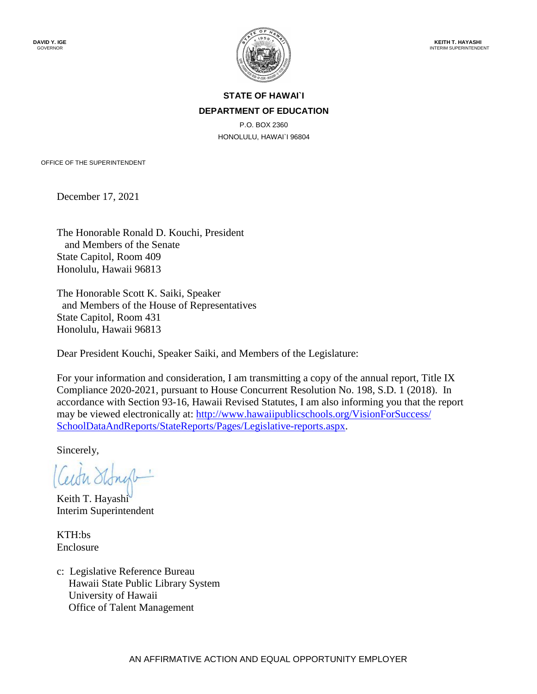

# **STATE OF HAWAI`I DEPARTMENT OF EDUCATION**

P.O. BOX 2360 HONOLULU, HAWAI`I 96804

OFFICE OF THE SUPERINTENDENT

December 17, 2021

The Honorable Ronald D. Kouchi, President and Members of the Senate State Capitol, Room 409 Honolulu, Hawaii 96813

The Honorable Scott K. Saiki, Speaker and Members of the House of Representatives State Capitol, Room 431 Honolulu, Hawaii 96813

Dear President Kouchi, Speaker Saiki, and Members of the Legislature:

For your information and consideration, I am transmitting a copy of the annual report, Title IX Compliance 2020-2021, pursuant to House Concurrent Resolution No. 198, S.D. 1 (2018). In accordance with Section 93-16, Hawaii Revised Statutes, I am also informing you that the report may be viewed electronically at: [http://www.hawaiipublicschools.org/VisionForSuccess/](http://www.hawaiipublicschools.org/VisionForSuccess/SchoolDataAndReports/StateReports/Pages/Legislative-reports.aspx)  [SchoolDataAndReports/StateReports/Pages/Legislative-reports.aspx.](http://www.hawaiipublicschools.org/VisionForSuccess/SchoolDataAndReports/StateReports/Pages/Legislative-reports.aspx)

Sincerely,

Keith T. Hayashi Interim Superintendent

KTH:bs Enclosure

c: Legislative Reference Bureau Hawaii State Public Library System University of Hawaii Office of Talent Management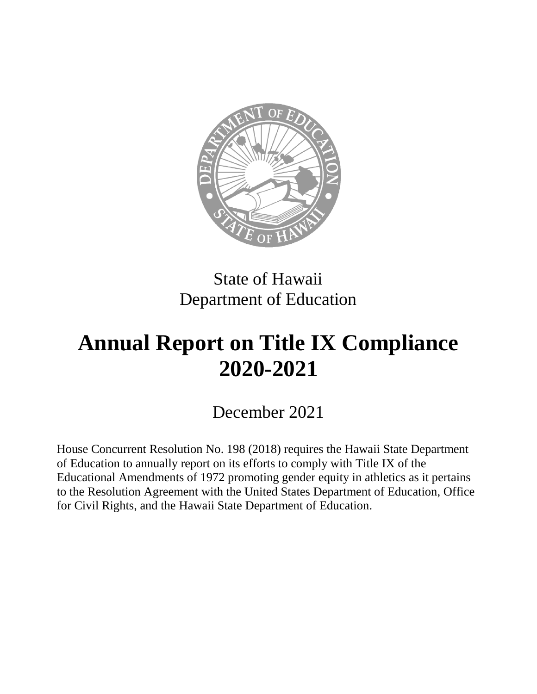

# State of Hawaii Department of Education

# **Annual Report on Title IX Compliance 2020-2021**

December 2021

House Concurrent Resolution No. 198 (2018) requires the Hawaii State Department of Education to annually report on its efforts to comply with Title IX of the Educational Amendments of 1972 promoting gender equity in athletics as it pertains to the Resolution Agreement with the United States Department of Education, Office for Civil Rights, and the Hawaii State Department of Education.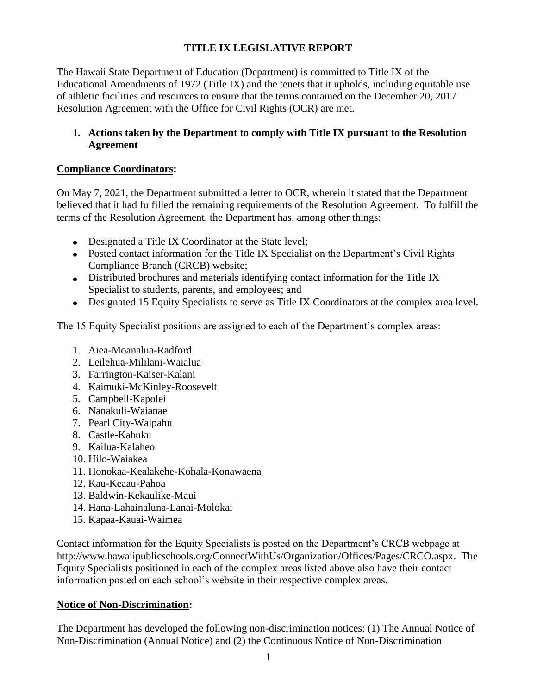# **TITLE IX LEGISLATIVE REPORT**

The Hawaii State Department of Education (Department) is committed to Title IX of the Educational Amendments of 1972 (Title IX) and the tenets that it upholds, including equitable use of athletic facilities and resources to ensure that the terms contained on the December 20, 2017 Resolution Agreement with the Office for Civil Rights (OCR) are met.

# **1. Actions taken by the Department to comply with Title IX pursuant to the Resolution Agreement**

# **Compliance Coordinators:**

On May 7, 2021, the Department submitted a letter to OCR, wherein it stated that the Department believed that it had fulfilled the remaining requirements of the Resolution Agreement. To fulfill the terms of the Resolution Agreement, the Department has, among other things:

- Designated a Title IX Coordinator at the State level;
- Posted contact information for the Title IX Specialist on the Department's Civil Rights Compliance Branch (CRCB) website;
- Distributed brochures and materials identifying contact information for the Title IX Specialist to students, parents, and employees; and
- Designated 15 Equity Specialists to serve as Title IX Coordinators at the complex area level.

The 15 Equity Specialist positions are assigned to each of the Department's complex areas:

- 1. Aiea-Moanalua-Radford
- 2. Leilehua-Mililani-Waialua
- 3. Farrington-Kaiser-Kalani
- 4. Kaimuki-McKinley-Roosevelt
- 5. Campbell-Kapolei
- 6. Nanakuli-Waianae
- 7. Pearl City-Waipahu
- 8. Castle-Kahuku
- 9. Kailua-Kalaheo
- 10. Hilo-Waiakea
- 11. Honokaa-Kealakehe-Kohala-Konawaena
- 12. Kau-Keaau-Pahoa
- 13. Baldwin-Kekaulike-Maui
- 14. Hana-Lahainaluna-Lanai-Molokai
- 15. Kapaa-Kauai-Waimea

Contact information for the Equity Specialists is posted on the Department's CRCB webpage at [http://www.hawaiipublicschools.org/ConnectWithUs/Organization/Offices/Pages/CRCO.aspx.](http://www.hawaiipublicschools.org/ConnectWithUs/Organization/Offices/Pages/CRCO.aspx) The Equity Specialists positioned in each of the complex areas listed above also have their contact information posted on each school's website in their respective complex areas.

# **Notice of Non-Discrimination:**

The Department has developed the following non-discrimination notices: (1) The Annual Notice of Non-Discrimination (Annual Notice) and (2) the Continuous Notice of Non-Discrimination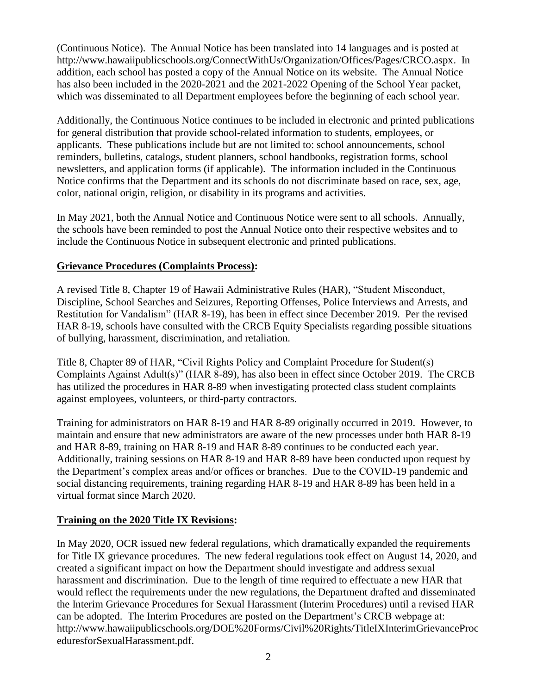(Continuous Notice). The Annual Notice has been translated into 14 languages and is posted at [http://www.hawaiipublicschools.org/ConnectWithUs/Organization/Offices/Pages/CRCO.aspx.](http://www.hawaiipublicschools.org/ConnectWithUs/Organization/Offices/Pages/CRCO.aspx) In addition, each school has posted a copy of the Annual Notice on its website. The Annual Notice has also been included in the 2020-2021 and the 2021-2022 Opening of the School Year packet, which was disseminated to all Department employees before the beginning of each school year.

Additionally, the Continuous Notice continues to be included in electronic and printed publications for general distribution that provide school-related information to students, employees, or applicants. These publications include but are not limited to: school announcements, school reminders, bulletins, catalogs, student planners, school handbooks, registration forms, school newsletters, and application forms (if applicable). The information included in the Continuous Notice confirms that the Department and its schools do not discriminate based on race, sex, age, color, national origin, religion, or disability in its programs and activities.

In May 2021, both the Annual Notice and Continuous Notice were sent to all schools. Annually, the schools have been reminded to post the Annual Notice onto their respective websites and to include the Continuous Notice in subsequent electronic and printed publications.

#### **Grievance Procedures (Complaints Process):**

A revised Title 8, Chapter 19 of Hawaii Administrative Rules (HAR), "Student Misconduct, Discipline, School Searches and Seizures, Reporting Offenses, Police Interviews and Arrests, and Restitution for Vandalism" (HAR 8-19), has been in effect since December 2019. Per the revised HAR 8-19, schools have consulted with the CRCB Equity Specialists regarding possible situations of bullying, harassment, discrimination, and retaliation.

Title 8, Chapter 89 of HAR, "Civil Rights Policy and Complaint Procedure for Student(s) Complaints Against Adult(s)" (HAR 8-89), has also been in effect since October 2019. The CRCB has utilized the procedures in HAR 8-89 when investigating protected class student complaints against employees, volunteers, or third-party contractors.

Training for administrators on HAR 8-19 and HAR 8-89 originally occurred in 2019. However, to maintain and ensure that new administrators are aware of the new processes under both HAR 8-19 and HAR 8-89, training on HAR 8-19 and HAR 8-89 continues to be conducted each year. Additionally, training sessions on HAR 8-19 and HAR 8-89 have been conducted upon request by the Department's complex areas and/or offices or branches. Due to the COVID-19 pandemic and social distancing requirements, training regarding HAR 8-19 and HAR 8-89 has been held in a virtual format since March 2020.

# **Training on the 2020 Title IX Revisions:**

In May 2020, OCR issued new federal regulations, which dramatically expanded the requirements for Title IX grievance procedures. The new federal regulations took effect on August 14, 2020, and created a significant impact on how the Department should investigate and address sexual harassment and discrimination. Due to the length of time required to effectuate a new HAR that would reflect the requirements under the new regulations, the Department drafted and disseminated the Interim Grievance Procedures for Sexual Harassment (Interim Procedures) until a revised HAR can be adopted. The Interim Procedures are posted on the Department's CRCB webpage at: [http://www.hawaiipublicschools.org/DOE%20Forms/Civil%20Rights/TitleIXInterimGrievanceProc](http://www.hawaiipublicschools.org/DOE%20Forms/Civil%20Rights/TitleIXInterimGrievanceProceduresforSexualHarassment.pdf) [eduresforSexualHarassment.pdf.](http://www.hawaiipublicschools.org/DOE%20Forms/Civil%20Rights/TitleIXInterimGrievanceProceduresforSexualHarassment.pdf)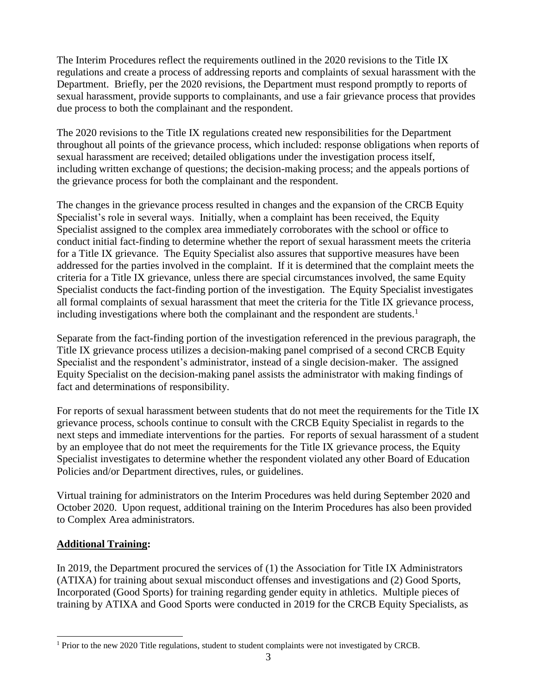The Interim Procedures reflect the requirements outlined in the 2020 revisions to the Title IX regulations and create a process of addressing reports and complaints of sexual harassment with the Department. Briefly, per the 2020 revisions, the Department must respond promptly to reports of sexual harassment, provide supports to complainants, and use a fair grievance process that provides due process to both the complainant and the respondent.

The 2020 revisions to the Title IX regulations created new responsibilities for the Department throughout all points of the grievance process, which included: response obligations when reports of sexual harassment are received; detailed obligations under the investigation process itself, including written exchange of questions; the decision-making process; and the appeals portions of the grievance process for both the complainant and the respondent.

The changes in the grievance process resulted in changes and the expansion of the CRCB Equity Specialist's role in several ways. Initially, when a complaint has been received, the Equity Specialist assigned to the complex area immediately corroborates with the school or office to conduct initial fact-finding to determine whether the report of sexual harassment meets the criteria for a Title IX grievance. The Equity Specialist also assures that supportive measures have been addressed for the parties involved in the complaint. If it is determined that the complaint meets the criteria for a Title IX grievance, unless there are special circumstances involved, the same Equity Specialist conducts the fact-finding portion of the investigation. The Equity Specialist investigates all formal complaints of sexual harassment that meet the criteria for the Title IX grievance process, including investigations where both the complainant and the respondent are students.<sup>1</sup>

Separate from the fact-finding portion of the investigation referenced in the previous paragraph, the Title IX grievance process utilizes a decision-making panel comprised of a second CRCB Equity Specialist and the respondent's administrator, instead of a single decision-maker. The assigned Equity Specialist on the decision-making panel assists the administrator with making findings of fact and determinations of responsibility.

For reports of sexual harassment between students that do not meet the requirements for the Title IX grievance process, schools continue to consult with the CRCB Equity Specialist in regards to the next steps and immediate interventions for the parties. For reports of sexual harassment of a student by an employee that do not meet the requirements for the Title IX grievance process, the Equity Specialist investigates to determine whether the respondent violated any other Board of Education Policies and/or Department directives, rules, or guidelines.

Virtual training for administrators on the Interim Procedures was held during September 2020 and October 2020. Upon request, additional training on the Interim Procedures has also been provided to Complex Area administrators.

# **Additional Training:**

l

In 2019, the Department procured the services of (1) the Association for Title IX Administrators (ATIXA) for training about sexual misconduct offenses and investigations and (2) Good Sports, Incorporated (Good Sports) for training regarding gender equity in athletics. Multiple pieces of training by ATIXA and Good Sports were conducted in 2019 for the CRCB Equity Specialists, as

 $1$  Prior to the new 2020 Title regulations, student to student complaints were not investigated by CRCB.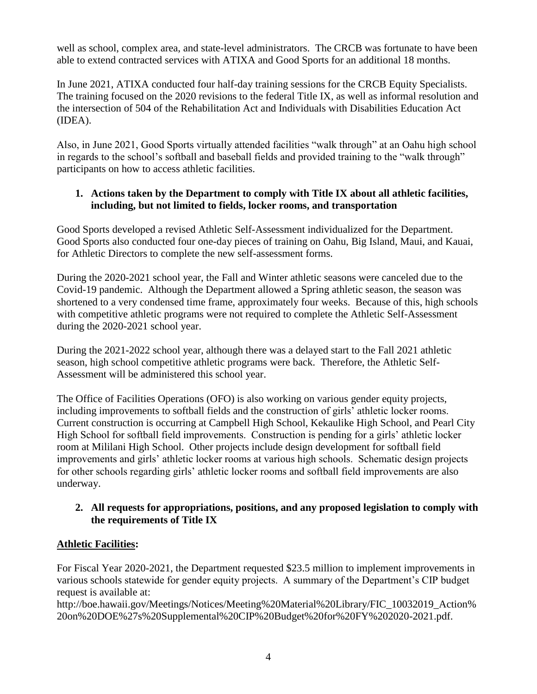well as school, complex area, and state-level administrators. The CRCB was fortunate to have been able to extend contracted services with ATIXA and Good Sports for an additional 18 months.

In June 2021, ATIXA conducted four half-day training sessions for the CRCB Equity Specialists. The training focused on the 2020 revisions to the federal Title IX, as well as informal resolution and the intersection of 504 of the Rehabilitation Act and Individuals with Disabilities Education Act (IDEA).

Also, in June 2021, Good Sports virtually attended facilities "walk through" at an Oahu high school in regards to the school's softball and baseball fields and provided training to the "walk through" participants on how to access athletic facilities.

# **1. Actions taken by the Department to comply with Title IX about all athletic facilities, including, but not limited to fields, locker rooms, and transportation**

Good Sports developed a revised Athletic Self-Assessment individualized for the Department. Good Sports also conducted four one-day pieces of training on Oahu, Big Island, Maui, and Kauai, for Athletic Directors to complete the new self-assessment forms.

During the 2020-2021 school year, the Fall and Winter athletic seasons were canceled due to the Covid-19 pandemic. Although the Department allowed a Spring athletic season, the season was shortened to a very condensed time frame, approximately four weeks. Because of this, high schools with competitive athletic programs were not required to complete the Athletic Self-Assessment during the 2020-2021 school year.

During the 2021-2022 school year, although there was a delayed start to the Fall 2021 athletic season, high school competitive athletic programs were back. Therefore, the Athletic Self-Assessment will be administered this school year.

The Office of Facilities Operations (OFO) is also working on various gender equity projects, including improvements to softball fields and the construction of girls' athletic locker rooms. Current construction is occurring at Campbell High School, Kekaulike High School, and Pearl City High School for softball field improvements. Construction is pending for a girls' athletic locker room at Mililani High School. Other projects include design development for softball field improvements and girls' athletic locker rooms at various high schools. Schematic design projects for other schools regarding girls' athletic locker rooms and softball field improvements are also underway.

# **2. All requests for appropriations, positions, and any proposed legislation to comply with the requirements of Title IX**

# **Athletic Facilities:**

For Fiscal Year 2020-2021, the Department requested \$23.5 million to implement improvements in various schools statewide for gender equity projects. A summary of the Department's CIP budget request is available at[:](http://boe.hawaii.gov/Meetings/Notices/Meeting%20Material%20Library/FIC_10032019_Action%20on%20DOE%27s%20Supplemental%20CIP%20Budget%20for%20FY%202020-2021.pdf)

[http://boe.hawaii.gov/Meetings/Notices/Meeting%20Material%20Library/FIC\\_10032019\\_Action%](http://boe.hawaii.gov/Meetings/Notices/Meeting%20Material%20Library/FIC_10032019_Action%20on%20DOE%27s%20Supplemental%20CIP%20Budget%20for%20FY%202020-2021.pdf) [20on%20DOE%27s%20Supplemental%20CIP%20Budget%20for%20FY%202020-2021.pdf.](http://boe.hawaii.gov/Meetings/Notices/Meeting%20Material%20Library/FIC_10032019_Action%20on%20DOE%27s%20Supplemental%20CIP%20Budget%20for%20FY%202020-2021.pdf)